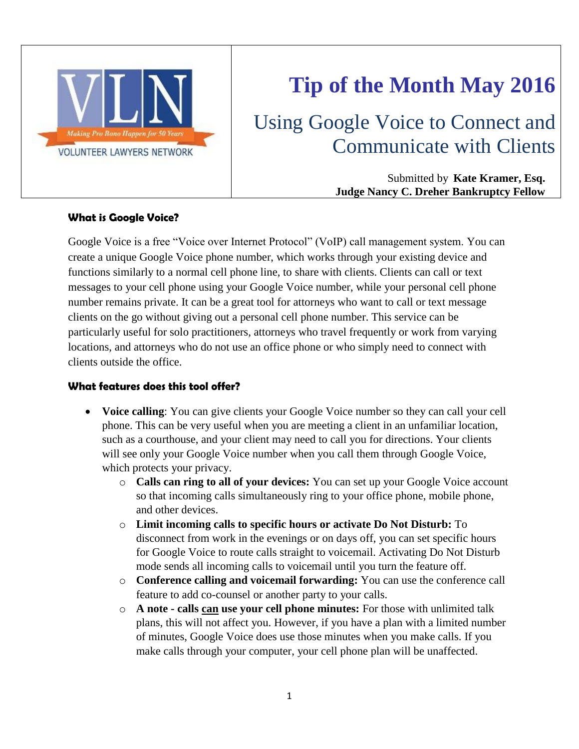

# **Tip of the Month May 2016**

# Using Google Voice to Connect and Communicate with Clients

Submitted by **Kate Kramer, Esq. Judge Nancy C. Dreher Bankruptcy Fellow**

## **What is Google Voice?**

Google Voice is a free "Voice over Internet Protocol" (VoIP) call management system. You can create a unique Google Voice phone number, which works through your existing device and functions similarly to a normal cell phone line, to share with clients. Clients can call or text messages to your cell phone using your Google Voice number, while your personal cell phone number remains private. It can be a great tool for attorneys who want to call or text message clients on the go without giving out a personal cell phone number. This service can be particularly useful for solo practitioners, attorneys who travel frequently or work from varying locations, and attorneys who do not use an office phone or who simply need to connect with clients outside the office.

### **What features does this tool offer?**

- **Voice calling**: You can give clients your Google Voice number so they can call your cell phone. This can be very useful when you are meeting a client in an unfamiliar location, such as a courthouse, and your client may need to call you for directions. Your clients will see only your Google Voice number when you call them through Google Voice, which protects your privacy.
	- o **Calls can ring to all of your devices:** You can set up your Google Voice account so that incoming calls simultaneously ring to your office phone, mobile phone, and other devices.
	- o **Limit incoming calls to specific hours or activate Do Not Disturb:** To disconnect from work in the evenings or on days off, you can set specific hours for Google Voice to route calls straight to voicemail. Activating Do Not Disturb mode sends all incoming calls to voicemail until you turn the feature off.
	- o **Conference calling and voicemail forwarding:** You can use the conference call feature to add co-counsel or another party to your calls.
	- o **A note - calls can use your cell phone minutes:** For those with unlimited talk plans, this will not affect you. However, if you have a plan with a limited number of minutes, Google Voice does use those minutes when you make calls. If you make calls through your computer, your cell phone plan will be unaffected.